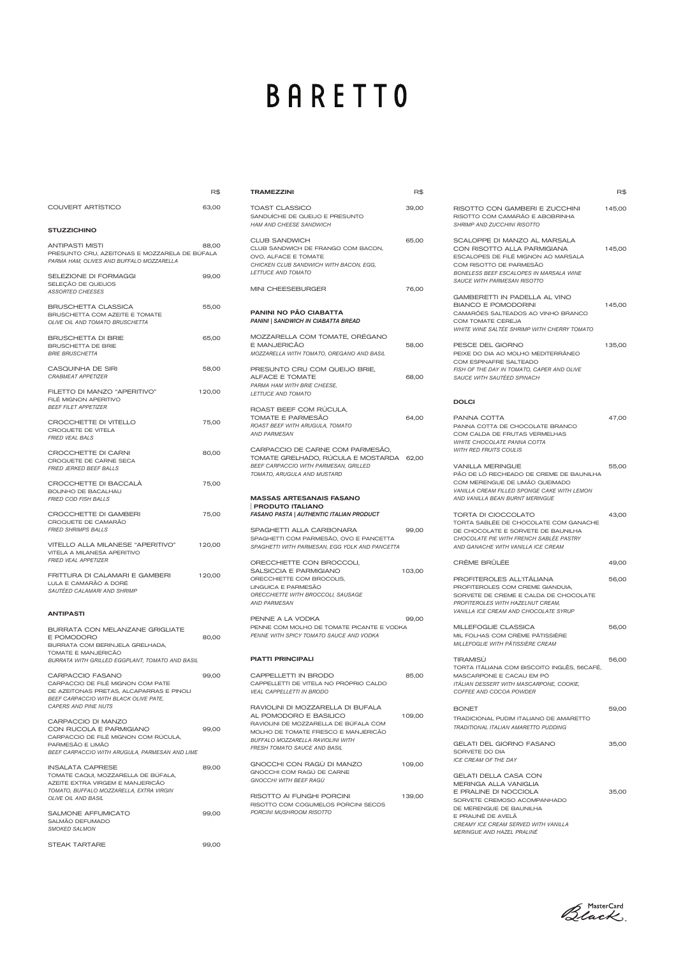# **BARETTO**

TRAMEZZINI R\$

|                                                                                                                                                                   | R\$    |
|-------------------------------------------------------------------------------------------------------------------------------------------------------------------|--------|
| <b>COUVERT ARTÍSTICO</b>                                                                                                                                          | 63,00  |
| <b>STUZZICHINO</b>                                                                                                                                                |        |
| <b>ANTIPASTI MISTI</b><br>PRESUNTO CRU, AZEITONAS E MOZZARELA DE BÚFALA<br>PARMA HAM, OLIVES AND BUFFALO MOZZARELLA                                               | 88,00  |
| SELEZIONE DI FORMAGGI<br>SELEÇÃO DE QUEIJOS<br><b>ASSORTED CHEESES</b>                                                                                            | 99,00  |
| <b>BRUSCHETTA CLASSICA</b><br>BRUSCHETTA COM AZEITE E TOMATE<br><b>OLIVE OIL AND TOMATO BRUSCHETTA</b>                                                            | 55,00  |
| <b>BRUSCHETTA DI BRIE</b><br><b>BRUSCHETTA DE BRIE</b><br><b>BRIE BRUSCHETTA</b>                                                                                  | 65,00  |
| CASQUINHA DE SIRI<br><b>CRABMEAT APPETIZER</b>                                                                                                                    | 58,00  |
| FILETTO DI MANZO "APERITIVO"<br>FILÉ MIGNON APERITIVO<br><b>BEEF FILET APPETIZER</b>                                                                              | 120,00 |
| CROCCHETTE DI VITELLO<br>CROQUETE DE VITELA<br><b>FRIED VEAL BALS</b>                                                                                             | 75,00  |
| CROCCHETTE DI CARNI<br>CROQUETE DE CARNE SECA<br>FRIED JERKED BEEF BALLS                                                                                          | 80,00  |
| CROCCHETTE DI BACCALA<br><b>BOLINHO DE BACALHAU</b><br><b>FRIED COD FISH BALLS</b>                                                                                | 75,00  |
| CROCCHETTE DI GAMBERI<br>CROQUETE DE CAMARÃO<br><b>FRIED SHRIMPS BALLS</b>                                                                                        | 75,00  |
| VITELLO ALLA MILANESE "APERITIVO"<br>VITELA A MILANESA APERITIVO<br><b>FRIED VEAL APPETIZER</b>                                                                   | 120,00 |
| FRITTURA DI CALAMARI E GAMBERI<br>LULA E CAMARÃO A DORÉ<br>SAUTÉED CALAMARI AND SHRIMP                                                                            | 120,00 |
| <b>ANTIPASTI</b>                                                                                                                                                  |        |
| <b>BURRATA CON MELANZANE GRIGLIATE</b><br>E POMODORO<br>BURRATA COM BERINJELA GRELHADA,<br>TOMATE E MANJERICÃO<br>BURRATA WITH GRILLED EGGPLANT, TOMATO AND BASIL | 80,00  |

CARPACCIO FASANO 99,00 CARPACCIO DE FILÉ MIGNON COM PATE DE AZEITONAS PRETAS, ALCAPARRAS E PINOLI *BEEF CARPACCIO WITH BLACK OLIVE PATE, CAPERS AND PINE NUTS*

INSALATA CAPRESE 89,00 TOMATE CAQUI, MOZZARELLA DE BÚFALA, AZEITE EXTRA VIRGEM E MANJERICÃO *TOMATO, BUFFALO MOZZARELLA, EXTRA VIRGIN OLIVE OIL AND BASIL*

SALMONE AFFUMICATO 99,00 SALMÃO DEFUMADO *SMOKED SALMON*

STEAK TARTARE 99,00

CARPACCIO DI MANZO CON RUCOLA E PARMIGIANO 99,00 CARPACCIO DE FILÉ MIGNON COM RÚCULA, PARMESÃO E LIMÃO *BEEF CARPACCIO WITH ARUGULA, PARMESAN AND LIME*

> GNOCCHI CON RAGÙ DI MANZO 109,00 GNOCCHI COM RAGÚ DE CARNE *GNOCCHI WITH BEEF RAGÙ*

> RISOTTO AI FUNGHI PORCINI 139,00 RISOTTO COM COGUMELOS PORCINI SECOS *PORCINI MUSHROOM RISOTTO*

| <b>TOAST CLASSICO</b><br>SANDUÍCHE DE QUEIJO E PRESUNTO<br><b>HAM AND CHEESE SANDWICH</b>                                                                            | 39,00  |
|----------------------------------------------------------------------------------------------------------------------------------------------------------------------|--------|
| <b>CLUB SANDWICH</b><br>CLUB SANDWICH DE FRANGO COM BACON,<br>OVO, ALFACE E TOMATE<br>CHICKEN CLUB SANDWICH WITH BACON, EGG,<br><b>LETTUCE AND TOMATO</b>            | 65,00  |
| <b>MINI CHEESEBURGER</b>                                                                                                                                             | 76,00  |
| <b>PANINI NO PÃO CIABATTA</b><br><b>PANINI   SANDWICH IN CIABATTA BREAD</b>                                                                                          |        |
| MOZZARELLA COM TOMATE, OREGANO<br>E MANJERICÃO<br>MOZZARELLA WITH TOMATO, OREGANO AND BASIL                                                                          | 58,00  |
| PRESUNTO CRU COM QUEIJO BRIE,<br>ALFACE E TOMATE<br>PARMA HAM WITH BRIE CHEESE,<br>LETTUCE AND TOMATO                                                                | 68,00  |
| ROAST BEEF COM RÚCULA.<br>TOMATE E PARMESÃO<br>ROAST BEEF WITH ARUGULA, TOMATO<br><b>AND PARMESAN</b>                                                                | 64,00  |
| CARPACCIO DE CARNE COM PARMESÃO,<br>TOMATE GRELHADO, RUCULA E MOSTARDA 62,00<br>BEEF CARPACCIO WITH PARMESAN, GRILLED<br>TOMATO, ARUGULA AND MUSTARD                 |        |
| <b>MASSAS ARTESANAIS FASANO</b><br><b>PRODUTO ITALIANO</b><br>FASANO PASTA   AUTHENTIC ITALIAN PRODUCT                                                               |        |
| SPAGHETTI ALLA CARBONARA<br>SPAGHETTI COM PARMESÃO, OVO E PANCETTA<br>SPAGHETTI WITH PARMESAN, EGG YOLK AND PANCETTA                                                 | 99,00  |
| ORECCHIETTE CON BROCCOLI,<br>SALSICCIA E PARMIGIANO<br>ORECCHIETTE COM BROCOLIS,<br>LINGUICA E PARMESÃO<br>ORECCHIETTE WITH BROCCOLI, SAUSAGE<br><b>AND PARMESAN</b> | 103,00 |
| PENNE A LA VODKA<br>PENNE COM MOLHO DE TOMATE PICANTE E VODKA<br>PENNE WITH SPICY TOMATO SAUCE AND VODKA                                                             | 99,00  |
| <b>PIATTI PRINCIPALI</b>                                                                                                                                             |        |
| CAPPELLETTI IN BRODO                                                                                                                                                 | 85,00  |

CAPPELLETTI DE VITELA NO PRÓPRIO CALDO

*VEAL CAPPELLETTI IN BRODO*

RAVIOLINI DI MOZZARELLA DI BUFALA AL POMODORO E BASILICO 109,00 RAVIOLINI DE MOZZARELLA DE BÚFALA COM MOLHO DE TOMATE FRESCO E MANJERICÃO *BUFFALO MOZZARELLA RAVIOLINI WITH FRESH TOMATO SAUCE AND BASIL* 

|                                                                                                                                                                                                                | R\$    |
|----------------------------------------------------------------------------------------------------------------------------------------------------------------------------------------------------------------|--------|
| RISOTTO CON GAMBERI E ZUCCHINI<br>RISOTTO COM CAMARÃO E ABOBRINHA<br><b>SHRIMP AND ZUCCHINI RISOTTO</b>                                                                                                        | 145,00 |
| SCALOPPE DI MANZO AL MARSALA<br>CON RISOTTO ALLA PARMIGIANA<br>ESCALOPES DE FILÉ MIGNON AO MARSALA<br>COM RISOTTO DE PARMESÃO<br><b>BONELESS BEEF ESCALOPES IN MARSALA WINE</b><br>SAUCE WITH PARMESAN RISOTTO | 145,00 |
| GAMBERETTI IN PADELLA AL VINO<br><b>BIANCO E POMODORINI</b><br>CAMARÕES SALTEADOS AO VINHO BRANCO<br>COM TOMATE CEREJA<br><i>WHITE WINE SALTÉE SHRIMP WITH CHERRY TOMATO</i>                                   | 145,00 |
| PESCE DEL GIORNO<br>PEIXE DO DIA AO MOLHO MEDITERRÂNEO<br>COM ESPINAFRE SALTEADO<br>FISH OF THE DAY IN TOMATO, CAPER AND OLIVE<br><i>SAUCE WITH SAUTÈED SPINACH</i>                                            | 135,00 |
| <b>DOLCI</b>                                                                                                                                                                                                   |        |
| PANNA COTTA<br>PANNA COTTA DE CHOCOLATE BRANCO<br>COM CALDA DE FRUTAS VERMELHAS<br><i>WHITE CHOCOLATE PANNA COTTA</i><br><b>WITH RED FRUITS COULIS</b>                                                         | 47,00  |
| <b>VANILLA MERINGUE</b><br>PÃO DE LÓ RECHEADO DE CREME DE BAUNILHA<br>COM MERENGUE DE LIMÃO QUEIMADO<br><b>VANILLA CREAM FILLED SPONGE CAKE WITH LEMON</b><br>AND VANILLA BEAN BURNT MERINGUE                  | 55,00  |
| TORTA DI CIOCCOLATO<br>TORTA SABLÉE DE CHOCOLATE COM GANACHE<br>DE CHOCOLATE E SORVETE DE BAUNILHA<br>CHOCOLATE PIE WITH FRENCH SABLÉE PASTRY<br>AND GANACHE WITH VANILLA ICE CREAM                            | 43,00  |
| CRÈME BRÛLÉE                                                                                                                                                                                                   | 49,00  |
| PROFITEROLES ALL'ITÁLIANA<br>PROFITEROLES COM CREME GIANDUIA,<br>SORVETE DE CREME E CALDA DE CHOCOLATE<br>PROFITEROLES WITH HAZELNUT CREAM,<br>VANILLA ICE CREAM AND CHOCOLATE SYRUP                           | 56,00  |
| MILLEFOGLIE CLASSICA<br>MIL FOLHAS COM CRÈME PÂTISSIÈRE<br><i>MILLEFOGLIE WITH PÂTISSIÈRE CREAM</i>                                                                                                            | 56,00  |
| <b>TIRAMISÜ</b><br>TORTA ITÁLIANA COM BISCOITO INGLÊS, 56CAFÉ,<br>MASCARPONE E CACAU EM PÓ<br>ITÀLIAN DESSERT WITH MASCARPONE, COOKIE,                                                                         | 56,00  |

*COFFEE AND COCOA POWDER*

| ი | <b>BONET</b><br>TRADICIONAL PUDIM ITALIANO DE AMARETTO<br>TRADITIONAL ITALIAN AMARETTO PUDDING                                      | 59.00 |
|---|-------------------------------------------------------------------------------------------------------------------------------------|-------|
| ი | GELATI DEL GIORNO FASANO<br>SORVETE DO DIA<br>ICE CREAM OF THE DAY                                                                  | 35,00 |
| ი | GELATI DELLA CASA CON<br>MFRINGA ALI A VANIGI IA<br>E PRALINE DI NOCCIOLA<br>SORVETE CREMOSO ACOMPANHADO<br>DE MERENGUE DE BAUNILHA | 35,00 |
|   | F PRAI INÉ DE AVEI Ã<br>CREAMY ICE CREAM SERVED WITH VANILLA<br>MERINGUE AND HAZEL PRALINÉ                                          |       |

Black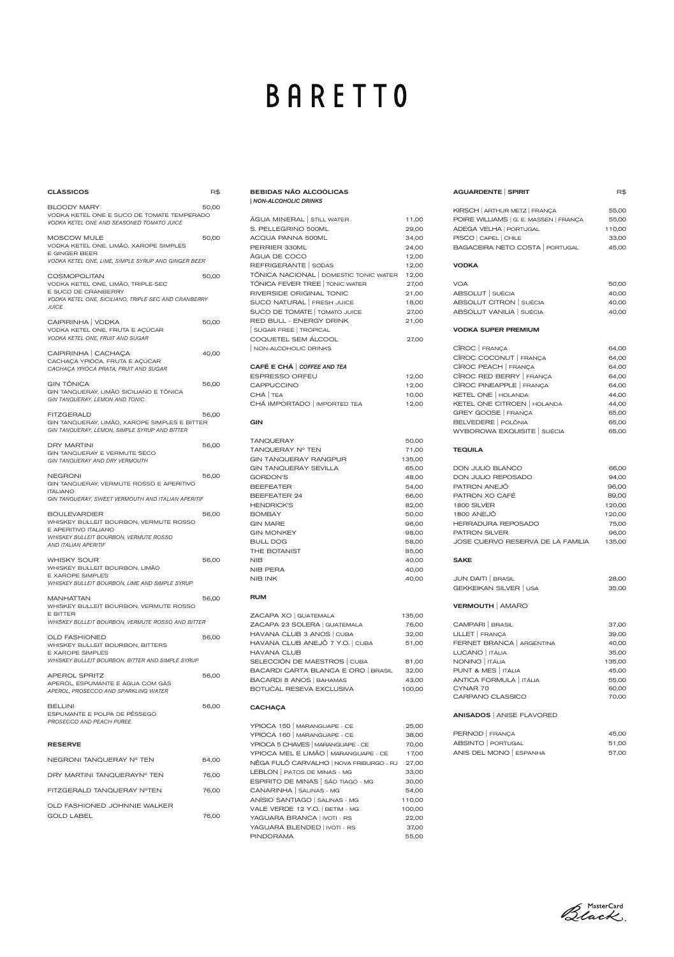| <b>CLASSICOS</b>                                                                                                                                                                                    | R\$   |
|-----------------------------------------------------------------------------------------------------------------------------------------------------------------------------------------------------|-------|
| <b>BLOODY MARY</b><br>VODKA KETEL ONE E SUCO DE TOMATE TEMPERADO<br>VODKA KETEL ONE AND SEASONED TOMATO JUICE                                                                                       | 50,00 |
| MOSCOW MULE<br>VODKA KETEL ONE, LIMÃO, XAROPE SIMPLES<br><b>E GINGER BEER</b><br>VODKA KETEL ONE, LIME, SIMPLE SYRUP AND GINGER BEER                                                                | 50,00 |
| <b>COSMOPOLITAN</b><br>VODKA KETEL ONE, LIMÃO, TRIPLE-SEC<br>E SUCO DE CRANBERRY<br>VODKA KETEL ONE, SICILIANO, TRIPLE-SEC AND CRANBERRY<br><i><b>JUICE</b></i>                                     | 50,00 |
| CAIPIRINHA   VODKA<br>VODKA KETEL ONE, FRUTA E AÇÚCAR<br>VODKA KETEL ONE, FRUIT AND SUGAR                                                                                                           | 50,00 |
| CAIPIRINHA   CACHAÇA<br>CACHACA YPIÓCA, FRUTA E ACÚCAR<br>CACHAÇA YPIÓCA PRATA, FRUIT AND SUGAR                                                                                                     | 40,00 |
| <b>GIN TÖNICA</b><br>GIN TANQUERAY, LIMÃO SICILIANO E TÔNICA<br>GIN TANQUERAY, LEMON AND TONIC                                                                                                      | 56,00 |
| <b>FITZGERALD</b><br>GIN TANQUERAY, LIMÃO, XAROPE SIMPLES E BITTER<br>GIN TANQUERAY, LEMON, SIMPLE SYRUP AND BITTER                                                                                 | 56,00 |
| <b>DRY MARTINI</b><br>GIN TANQUERAY E VERMUTE SECO<br><b>GIN TANQUERAY AND DRY VERMOUTH</b>                                                                                                         | 56,00 |
| NEGRONI<br>GIN TANQUERAY, VERMUTE ROSSO E APERITIVO<br><b>ITALIANO</b><br>GIN TANQUERAY, SWEET VERMOUTH AND ITALIAN APERITIF                                                                        | 56,00 |
| <b>BOULEVARDIER</b><br>WHISKEY BULLEIT BOURBON, VERMUTE ROSSO<br>E APERITIVO ITALIANO<br>WHISKEY BULLEIT BOURBON, VERMUTE ROSSO<br>AND ITALIAN APERITIF                                             | 56,00 |
| <b>WHISKY SOUR</b><br>WHISKEY BULLEIT BOURBON, LIMÃO<br><b>E XAROPE SIMPLES</b><br>WHISKEY BULLEIT BOURBON, LIME AND SIMPLE SYRUP                                                                   | 56,00 |
| <b>MANHATTAN</b><br>WHISKEY BULLEIT BOURBON, VERMUTE ROSSO<br>E BITTER                                                                                                                              | 56,00 |
| <b>WHISKEY BULLEIT BOURBON, VERMUTE ROSSO AND BITTER</b><br><b>OLD FASHIONED</b><br>WHISKEY BULLEIT BOURBON, BITTERS<br><b>E XAROPE SIMPLES</b><br>WHISKEY BULLEIT BOURBON, BITTER AND SIMPLE SYRUP | 56,00 |
| <b>APEROL SPRITZ</b><br>APEROL, ESPUMANTE E ÁGUA COM GÁS                                                                                                                                            | 56,00 |

|  | APEROL. PROSECCO AND SPARKLING WATER |  |  |  |
|--|--------------------------------------|--|--|--|
|--|--------------------------------------|--|--|--|

| <b>BELLINI</b>               |  |
|------------------------------|--|
| ESPUMANTE E POLPA DE PÊSSEGO |  |
| PROSECCO AND PEACH PUREE     |  |

### RESERVE

| NEGRONI TANQUERAY Nº TEN     | 64.00 |
|------------------------------|-------|
| DRY MARTINI TANOUERAYN° TEN  | 76.00 |
| FITZGERALD TANOUERAY NºTEN   | 76,00 |
| OLD FASHIONED JOHNNIE WALKER |       |
| GOLD LABEL                   | 76.00 |

# **BARETTO**

BEBIDAS NÃO ALCOÓLICAS

| CAMPARI   BRASIL          | 37,00  |
|---------------------------|--------|
| LILLET   FRANÇA           | 39,00  |
| FERNET BRANCA   ARGENTINA | 40,00  |
| LUCANO   ITÁLIA           | 35,00  |
| NONINO   ITÁLIA           | 135,00 |
| PUNT & MES   ITÁLIA       | 45.00  |
| ANTICA FORMULA   ITÁLIA   | 55.00  |
| CYNAR 70                  | 60,00  |

| NON-ALCOHOLIC DRINKS                                            |        |
|-----------------------------------------------------------------|--------|
| ÁGUA MINERAL STILL WATER                                        | 11,00  |
| S. PELLEGRINO 500ML                                             | 29,00  |
| ACQUA PANNA 500ML                                               | 34,00  |
| PERRIER 330ML                                                   | 24,00  |
| ÁGUA DE COCO                                                    | 12,00  |
| REFRIGERANTE   SODAS                                            | 12,00  |
| TÔNICA NACIONAL DOMESTIC TONIC WATER                            | 12,00  |
| TÔNICA FEVER TREE   TONIC WATER                                 | 27,00  |
| RIVERSIDE ORIGINAL TONIC                                        | 21,00  |
| SUCO NATURAL FRESH JUICE                                        | 18,00  |
| SUCO DE TOMATE   TOMATO JUICE                                   | 27,00  |
| RED BULL - ENERGY DRINK                                         | 21,00  |
| SUGAR FREE   TROPICAL                                           |        |
| COQUETEL SEM ÁLCOOL                                             | 27,00  |
| NON-ALCOHOLIC DRINKS                                            |        |
|                                                                 |        |
| CAFÉ E CHÁ COFFEE AND TEA                                       |        |
| <b>ESPRESSO ORFEU</b>                                           | 12,00  |
| CAPPUCCINO                                                      | 12,00  |
| CHÁ TEA                                                         | 10,00  |
| CHÁ IMPORTADO   IMPORTED TEA                                    | 12,00  |
| GIN                                                             |        |
| <b>TANQUERAY</b>                                                | 50,00  |
| TANQUERAY Nº TEN                                                | 71,00  |
| <b>GIN TANQUERAY RANGPUR</b>                                    | 135,00 |
| <b>GIN TANQUERAY SEVILLA</b>                                    | 65,00  |
| <b>GORDON'S</b>                                                 | 48,00  |
| <b>BEEFEATER</b>                                                | 54,00  |
| BEEFEATER 24                                                    | 66,00  |
| <b>HENDRICK'S</b>                                               | 82,00  |
| <b>BOMBAY</b>                                                   | 50,00  |
| <b>GIN MARE</b>                                                 | 96,00  |
| <b>GIN MONKEY</b>                                               | 98,00  |
| <b>BULL DOG</b>                                                 | 58,00  |
| THE BOTANIST                                                    | 85,00  |
| NIB                                                             | 40,00  |
| NIB PERA                                                        | 40,00  |
| NIB INK                                                         | 40,00  |
| RUM                                                             |        |
| ZACAPA XO   GUATEMALA                                           |        |
| ZACAPA 23 SOLERA   GUATEMALA                                    | 135,00 |
| HAVANA CLUB 3 ANOS   CUBA                                       | 76,00  |
|                                                                 | 32,00  |
| HAVANA CLUB ANEJÕ 7 Y.O.   CUBA                                 | 51,00  |
| <b>HAVANA CLUB</b>                                              |        |
| SELECCIÓN DE MAESTROS   CUBA                                    | 81,00  |
| BACARDI CARTA BLANCA E ORO   BRASIL<br>BACARDI 8 ANOS   BAHAMAS | 32,00  |
|                                                                 | 43,00  |

| BOTUCAL RESEVA EXCLUSIVA | 100,00 |
|--------------------------|--------|
|--------------------------|--------|

## **CACHAÇA**

56,00

| YPIOCA 150   MARANGUAPE - CE            | 25,00  |
|-----------------------------------------|--------|
| YPIOCA 160   MARANGUAPE - CE            | 38,00  |
| YPIOCA 5 CHAVES   MARANGUAPE - CE       | 70,00  |
| YPIOCA MEL E LIMÃO   MARANGUAPE - CE    | 17,00  |
| NÊGA FULÔ CARVALHO   NOVA FRIBURGO - RJ | 27,00  |
| LEBLON   PATOS DE MINAS - MG            | 33,00  |
| ESPIRITO DE MINAS   SÃO TIAGO - MG      | 30,00  |
| CANARINHA   SALINAS - MG                | 54.00  |
| ANÍSIO SANTIAGO   SALINAS - MG          | 110,00 |
| VALE VERDE 12 Y.O.   BETIM - MG         | 100,00 |
| YAGUARA BRANCA   IVOTI - RS             | 22,00  |
| YAGUARA BLENDED   IVOTI - RS            | 37,00  |
| <b>PINDORAMA</b>                        | 55.00  |
|                                         |        |

KIRSCH | ARTHUR METZ | FRANÇA 55,00

| POIRE WILLIAMS   G. E. MASSEN   FRANÇA | 55,00  |
|----------------------------------------|--------|
| ADEGA VELHA   PORTUGAL                 | 110,00 |
| PISCO   CAPEL   CHILE                  | 33,00  |
| BAGACEIRA NETO COSTA   PORTUGAL        | 45,00  |
|                                        |        |
| <b>VODKA</b>                           |        |
| <b>VOA</b>                             | 50,00  |
| ABSOLUT SUÉCIA                         | 40,00  |
| ABSOLUT CITRON   SUÉCIA                | 40,00  |
| ABSOLUT VANILIA   SUÉCIA               | 40,00  |
| <b>VODKA SUPER PREMIUM</b>             |        |
| CÎROC FRANÇA                           | 64,00  |
| CÎROC COCONUT FRANÇA                   | 64,00  |
| CÎROC PEACH   FRANÇA                   | 64,00  |
| CÎROC RED BERRY   FRANÇA               | 64,00  |
| CÎROC PINEAPPLE   FRANÇA               | 64,00  |
| KETEL ONE   HOLANDA                    | 44,00  |
| KETEL ONE CITROEN   HOLANDA            | 44,00  |
| GREY GOOSE   FRANÇA                    | 65,00  |
| BELVEDERE   POLÔNIA                    | 65,00  |
| WYBOROWA EXQUISITE   SUÉCIA            | 65,00  |
| <b>TEQUILA</b>                         |        |
| DON JULIO BLANCO                       | 66,00  |
| DON JULIO REPOSADO                     | 94,00  |
| PATRON ANEJÕ                           | 96,00  |
| PATRON XO CAFÉ                         | 89,00  |
| 1800 SILVER                            | 120,00 |
| 1800 ANEJÕ                             | 120,00 |
| HERRADURA REPOSADO                     | 75,00  |
| PATRON SILVER                          | 96,00  |
| JOSE CUERVO RESERVA DE LA FAMILIA      | 135,00 |
| <b>SAKE</b>                            |        |
| JUN DAITI   BRASIL                     | 28,00  |
| GEKKEIKAN SILVER   USA                 | 35,00  |
| <b>VERMOUTH   AMARO</b>                |        |

AGUARDENTE SPIRIT R\$

|                  | .     |
|------------------|-------|
| CARPANO CLASSICO | 70,00 |

## ANISADOS | ANISE FLAVORED

| PERNOD   FRANÇA         | 45.00 |
|-------------------------|-------|
| ABSINTO   PORTUGAL      | 51.00 |
| ANIS DEL MONO   ESPANHA | 57.00 |

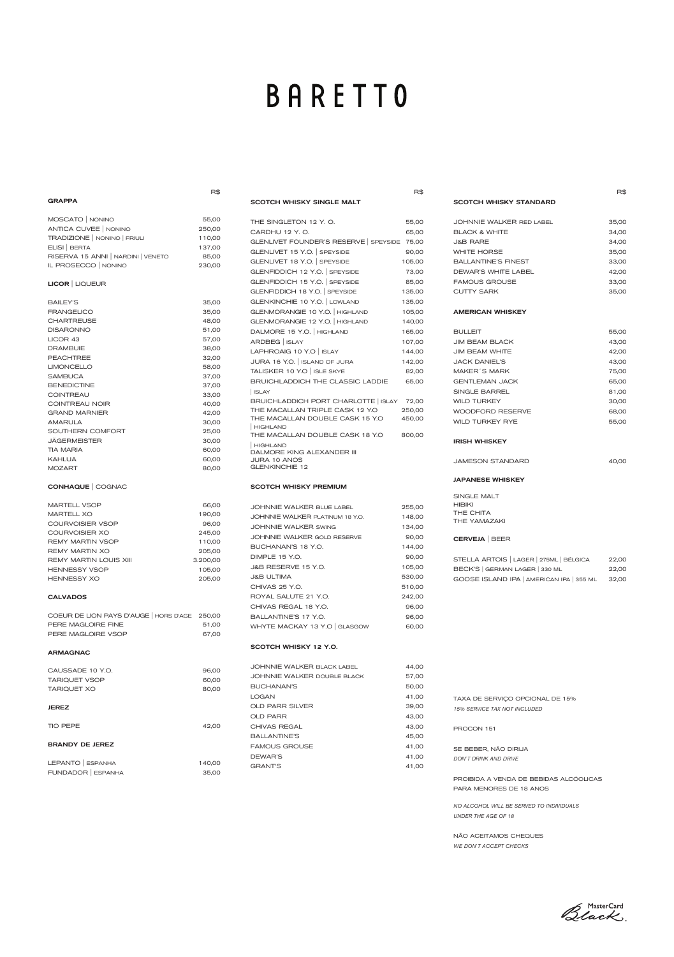# **BARETTO**

|                                               | R\$      |                                                                         | R\$             |
|-----------------------------------------------|----------|-------------------------------------------------------------------------|-----------------|
| <b>GRAPPA</b>                                 |          | <b>SCOTCH WHISKY SINGLE MALT</b>                                        |                 |
| MOSCATO   NONINO                              | 55,00    | THE SINGLETON 12 Y.O.                                                   | 55,00           |
| ANTICA CUVEE   NONINO                         | 250,00   | CARDHU 12 Y.O.                                                          | 65,00           |
| TRADIZIONE   NONINO   FRIULI                  | 110,00   | GLENLIVET FOUNDER'S RESERVE SPEYSIDE                                    | 75,00           |
| ELISI   BERTA                                 | 137,00   | GLENLIVET 15 Y.O. SPEYSIDE                                              | 90,00           |
| RISERVA 15 ANNI NARDINI VENETO                | 85,00    |                                                                         |                 |
| IL PROSECCO   NONINO                          | 230,00   | GLENLIVET 18 Y.O.   SPEYSIDE                                            | 105,00          |
|                                               |          | GLENFIDDICH 12 Y.O. SPEYSIDE                                            | 73,00           |
| <b>LICOR</b>   LIQUEUR                        |          | GLENFIDDICH 15 Y.O. SPEYSIDE                                            | 85,00           |
|                                               |          | GLENFIDDICH 18 Y.O. SPEYSIDE                                            | 135,00          |
| <b>BAILEY'S</b>                               | 35,00    | GLENKINCHIE 10 Y.O.   LOWLAND                                           | 135,00          |
| <b>FRANGELICO</b>                             | 35,00    | GLENMORANGIE 10 Y.O.   HIGHLAND                                         | 105,00          |
| <b>CHARTREUSE</b>                             | 48,00    | GLENMORANGIE 12 Y.O.   HIGHLAND                                         | 140,00          |
| <b>DISARONNO</b>                              | 51,00    | DALMORE 15 Y.O.   HIGHLAND                                              | 165,00          |
| LICOR 43                                      | 57,00    | ARDBEG   ISLAY                                                          | 107,00          |
| <b>DRAMBUIE</b>                               | 38,00    | LAPHROAIG 10 Y.O   ISLAY                                                | 144,00          |
| <b>PEACHTREE</b>                              | 32,00    | JURA 16 Y.O.   ISLAND OF JURA                                           | 142,00          |
| <b>LIMONCELLO</b>                             | 58,00    | TALISKER 10 Y.O   ISLE SKYE                                             | 82,00           |
| <b>SAMBUCA</b>                                | 37,00    | BRUICHLADDICH THE CLASSIC LADDIE                                        | 65,00           |
| <b>BENEDICTINE</b>                            | 37,00    |                                                                         |                 |
| <b>COINTREAU</b>                              | 33,00    | ISLAY                                                                   |                 |
| COINTREAU NOIR                                | 40,00    | BRUICHLADDICH PORT CHARLOTTE   ISLAY<br>THE MACALLAN TRIPLE CASK 12 Y.O | 72,00<br>250,00 |
| <b>GRAND MARNIER</b>                          | 42,00    | THE MACALLAN DOUBLE CASK 15 Y.O                                         | 450,00          |
| <b>AMARULA</b>                                | 30,00    | <b>HIGHLAND</b>                                                         |                 |
| SOUTHERN COMFORT                              | 25,00    | THE MACALLAN DOUBLE CASK 18 Y.O                                         | 800,00          |
| JÄGERMEISTER                                  | 30,00    | <b>HIGHLAND</b>                                                         |                 |
| <b>TIA MARIA</b>                              | 60,00    | DALMORE KING ALEXANDER III                                              |                 |
| <b>KAHLUA</b>                                 | 60,00    | <b>JURA 10 ANOS</b>                                                     |                 |
| <b>MOZART</b>                                 | 80,00    | <b>GLENKINCHIE 12</b>                                                   |                 |
| <b>CONHAQUE</b> COGNAC                        |          | <b>SCOTCH WHISKY PREMIUM</b>                                            |                 |
| <b>MARTELL VSOP</b>                           | 66,00    | <b>JOHNNIE WALKER BLUE LABEL</b>                                        | 255,00          |
| <b>MARTELL XO</b>                             | 190,00   | JOHNNIE WALKER PLATINUM 18 Y.O.                                         | 148,00          |
| <b>COURVOISIER VSOP</b>                       | 96,00    | <b>JOHNNIE WALKER SWING</b>                                             | 134,00          |
| COURVOISIER XO                                | 245,00   | JOHNNIE WALKER GOLD RESERVE                                             | 90,00           |
| <b>REMY MARTIN VSOP</b>                       | 110,00   | BUCHANAN'S 18 Y.O.                                                      | 144,00          |
| <b>REMY MARTIN XO</b>                         | 205,00   | DIMPLE 15 Y.O.                                                          | 90,00           |
| REMY MARTIN LOUIS XIII                        | 3.200,00 |                                                                         |                 |
| <b>HENNESSY VSOP</b>                          | 105,00   | J&B RESERVE 15 Y.O.                                                     | 105,00          |
| <b>HENNESSY XO</b>                            | 205,00   | <b>J&amp;B ULTIMA</b>                                                   | 530,00          |
|                                               |          | CHIVAS 25 Y.O.                                                          | 510,00          |
| <b>CALVADOS</b>                               |          | ROYAL SALUTE 21 Y.O.                                                    | 242,00          |
|                                               |          | CHIVAS REGAL 18 Y.O.                                                    | 96,00           |
| COEUR DE LION PAYS D'AUGE   HORS D'AGE 250,00 |          | BALLANTINE'S 17 Y.O.                                                    | 96,00           |
| PERE MAGLOIRE FINE                            | 51,00    | WHYTE MACKAY 13 Y.O GLASGOW                                             | 60,00           |
| PERE MAGLOIRE VSOP                            | 67,00    |                                                                         |                 |
| <b>ARMAGNAC</b>                               |          | SCOTCH WHISKY 12 Y.O.                                                   |                 |
|                                               |          | JOHNNIE WALKER BLACK LABEL                                              | 44,00           |
| OMICCMDE 10 VQ                                | ne nn    |                                                                         |                 |

JOHNNIE WALKER DOUBLE BLACK 57,00

| <b>TARIQUET XO</b>        | 80,00  | <b>BUCHANAN'S</b>      | 50,00 |
|---------------------------|--------|------------------------|-------|
|                           |        | <b>LOGAN</b>           | 41,00 |
| <b>JEREZ</b>              |        | <b>OLD PARR SILVER</b> | 39,00 |
|                           |        | <b>OLD PARR</b>        | 43,00 |
| <b>TIO PEPE</b>           | 42,00  | CHIVAS REGAL           | 43,00 |
|                           |        | <b>BALLANTINE'S</b>    | 45,00 |
| <b>BRANDY DE JEREZ</b>    |        | <b>FAMOUS GROUSE</b>   | 41,00 |
|                           |        | DEWAR'S                | 41,00 |
| LEPANTO<br><b>ESPANHA</b> | 140,00 | <b>GRANT'S</b>         | 41,00 |
| FUNDADOR   ESPANHA        | 35,00  |                        |       |

CAUSSADE 10 Y.O. 96,00 TARIQUET VSOP 60,00 R\$

SCOTCH WHISKY STANDARD

| JOHNNIE WALKER RED LABEL   | 35,00 |
|----------------------------|-------|
| <b>BLACK &amp; WHITE</b>   | 34,00 |
| <b>J&amp;B RARE</b>        | 34,00 |
| WHITE HORSE                | 35,00 |
| <b>BALLANTINE'S FINEST</b> | 33,00 |
| DEWAR'S WHITE LABEL        | 42.00 |
| <b>FAMOUS GROUSE</b>       | 33.00 |
| CUTTY SARK                 | 35.00 |

#### AMERICAN WHISKEY

| <b>BULLEIT</b>          | 55,00 |
|-------------------------|-------|
| <b>JIM BEAM BLACK</b>   | 43,00 |
| <b>JIM BEAM WHITE</b>   | 42,00 |
| <b>JACK DANIEL'S</b>    | 43,00 |
| MAKER'S MARK            | 75,00 |
| GENTI FMAN, JACK        | 65,00 |
| SINGLE BARREL           | 81,00 |
| <b>WILD TURKEY</b>      | 30.00 |
| <b>WOODFORD RESERVE</b> | 68,00 |
| WII D TURKEY RYF        | 55,00 |

#### IRISH WHISKEY

| <b>JAMESON STANDARD</b> | 40,00 |
|-------------------------|-------|
|                         |       |

### JAPANESE WHISKEY

SINGLE MALT HIBIKI THE CHITA THE YAMAZAKI

### CERVEJA | BEER

| STELLA ARTOIS   LAGER   275ML   BÉLGICA  | 22.00 |
|------------------------------------------|-------|
| BECK'S GERMAN LAGER 330 ML               | 22.00 |
| GOOSE ISLAND IPA   AMERICAN IPA   355 ML | 32.00 |

| TAXA DE SERVICO OPCIONAL DE 15%<br>15% SERVICE TAX NOT INCLUDED   |
|-------------------------------------------------------------------|
| PROCON 151                                                        |
| SE BEBER. NÃO DIRIJA<br>DON'T DRINK AND DRIVE                     |
| PROIBIDA A VENDA DE BEBIDAS ALCÓOLICAS<br>PARA MENORES DE 18 ANOS |

*NO ALCOHOL WILL BE SERVED TO INDIVIDUALS UNDER THE AGE OF 18*

NÃO ACEITAMOS CHEQUES *WE DON´T ACCEPT CHECKS*

Black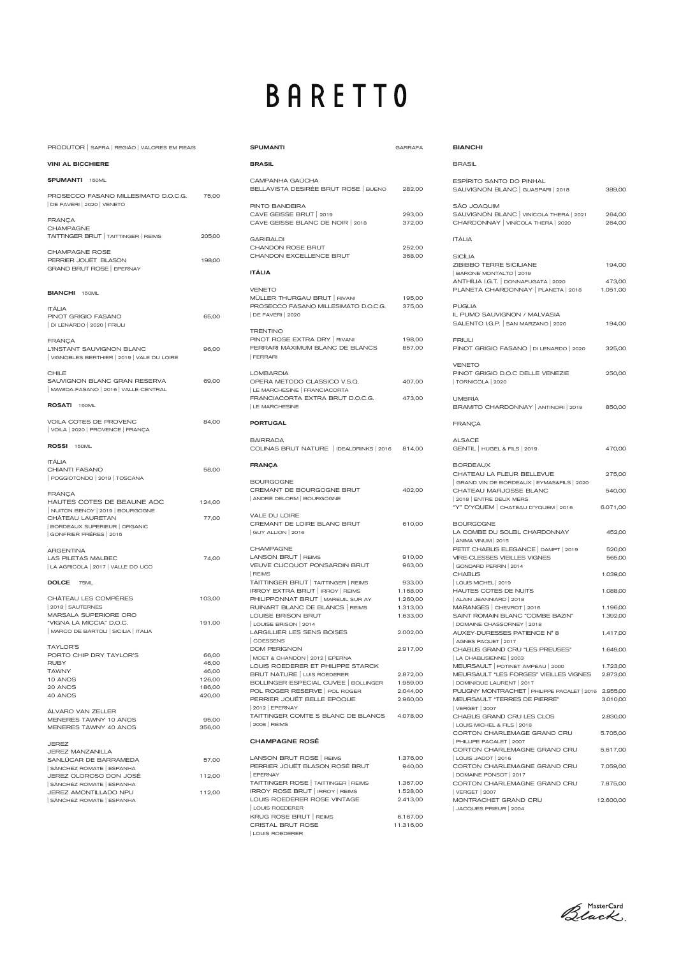# **BARETTO**

| PRODUTOR SAFRA REGIÃO VALORES EM REAIS                                                  |                  | <b>SPUMANTI</b>                                                      |
|-----------------------------------------------------------------------------------------|------------------|----------------------------------------------------------------------|
| <b>VINI AL BICCHIERE</b>                                                                |                  | <b>BRASIL</b>                                                        |
| <b>SPUMANTI</b> 150ML                                                                   |                  | CAMPANHA <sup>(</sup><br><b>BELLAVISTA I</b>                         |
| PROSECCO FASANO MILLESIMATO D.O.C.G.<br>DE FAVERI   2020   VENETO                       | 75,00            | PINTO BANDI                                                          |
| <b>FRANÇA</b><br><b>CHAMPAGNE</b>                                                       |                  | <b>CAVE GEISSE</b><br><b>CAVE GEISSE</b>                             |
| TAITTINGER BRUT   TAITTINGER   REIMS                                                    | 205,00           | <b>GARIBALDI</b><br><b>CHANDON R</b>                                 |
| <b>CHAMPAGNE ROSE</b><br>PERRIER JOUËT BLASON<br><b>GRAND BRUT ROSE   EPERNAY</b>       | 198,00           | <b>CHANDON E</b>                                                     |
|                                                                                         |                  | <b>ITÁLIA</b>                                                        |
| <b>BIANCHI</b> 150ML<br><b>ITÁLIA</b>                                                   |                  | <b>VENETO</b><br>MÜLLER THU<br>PROSECCO F                            |
| PINOT GRIGIO FASANO<br>DI LENARDO   2020   FRIULI                                       | 65,00            | DE FAVERI 20                                                         |
| <b>FRANÇA</b><br>L'INSTANT SAUVIGNON BLANC<br>VIGNOBLES BERTHIER   2019   VALE DU LOIRE | 96,00            | <b>TRENTINO</b><br>PINOT ROSE<br><b>FERRARI MA</b><br>FERRARI        |
| CHILE<br>SAUVIGNON BLANC GRAN RESERVA<br>MAWIDA-FASANO   2016   VALLE CENTRAL           | 69,00            | LOMBARDIA<br>OPERA METO<br>LE MARCHESII                              |
| <b>ROSATI</b> 150ML                                                                     |                  | <b>FRANCIACOF</b><br><b>LE MARCHESII</b>                             |
| VOILA COTES DE PROVENC<br>VOILA   2020   PROVENCE   FRANÇA                              | 84,00            | <b>PORTUGAL</b>                                                      |
| ROSSI<br>150ML                                                                          |                  | BAIRRADA<br><b>COLINAS BRI</b>                                       |
| <b>ITÁLIA</b><br>CHIANTI FASANO                                                         | 58,00            | <b>FRANÇA</b>                                                        |
| POGGIOTONDO 2019   TOSCANA<br><b>FRANÇA</b>                                             |                  | <b>BOURGOGNE</b><br><b>CREMANT DE</b>                                |
| HAUTES COTES DE BEAUNE AOC<br>NUITON BENOY   2019   BOURGOGNE                           | 124,00           | ANDRÉ DELOF                                                          |
| CHÂTEAU LAURETAN<br>BORDEAUX SUPERIEUR   ORGANIC<br>GONFRIER FRÉRES   2015              | 77,00            | <b>VALE DU LOIF</b><br><b>CREMANT DE</b><br>  GUY ALLION             |
| <b>ARGENTINA</b><br>LAS PILETAS MALBEC<br>  LA AGRICOLA   2017   VALLE DO UCO           | 74,00            | CHAMPAGNE<br><b>LANSON BRU</b><br><b>VEUVE CLICC</b><br>REIMS        |
| <b>DOLCE</b><br>75ML                                                                    |                  | <b>TAITTINGER E</b><br><b>IRROY EXTRA</b>                            |
| CHÂTEAU LES COMPÈRES<br>2018   SAUTERNES<br>MARSALA SUPERIORE ORO                       | 103,00           | <b>PHILIPPONNA</b><br><b>RUINART BLA</b><br><b>LOUISE BRIS</b>       |
| "VIGNA LA MICCIA" D.O.C.<br>  MARCO DE BARTOLI   SICILIA   ITALIA<br><b>TAYLOR'S</b>    | 191,00           | LOUISE BRISC<br><b>LARGILLIER L</b><br>COESSENS<br><b>DOM PERIGN</b> |
| PORTO CHIP DRY TAYLOR'S                                                                 | 66,00            | MOET & CHAN                                                          |
| <b>RUBY</b>                                                                             | 46,00            | <b>LOUIS ROEDE</b>                                                   |
| <b>TAWNY</b>                                                                            | 46,00            | <b>BRUT NATUF</b>                                                    |
| 10 ANOS<br>20 ANOS                                                                      | 126,00<br>186,00 | <b>BOLLINGER E</b>                                                   |
|                                                                                         |                  |                                                                      |

420,00

95,00 356,00

57,00

112,00

112,00

| 40 ANOS                                                                                                                                                                                          |
|--------------------------------------------------------------------------------------------------------------------------------------------------------------------------------------------------|
| ÁI VARO VAN ZELLER<br>MENERES TAWNY 10 ANOS<br>MENERES TAWNY 40 ANOS                                                                                                                             |
| JEREZ<br>JEREZ MANZANII I A<br>SANI LICAR DE BARRAMEDA<br>SÁNCHEZ ROMATE ESPANHA<br>JEREZ OLOROSO DON JOSÉ<br>SÁNCHEZ ROMATE   ESPANHA<br><b>JEREZ AMONTILLADO NPU</b><br>SÁNCHEZ ROMATE ESPANHA |

| <b>SPUMANTI</b>                                                                                           | <b>GARRAFA</b>       |
|-----------------------------------------------------------------------------------------------------------|----------------------|
| <b>BRASIL</b>                                                                                             |                      |
| CAMPANHA GAÚCHA<br>BELLAVISTA DESIRÉE BRUT ROSE BUENO                                                     | 282,00               |
| PINTO BANDEIRA<br>CAVE GEISSE BRUT   2019<br>CAVE GEISSE BLANC DE NOIR   2018                             | 293,00<br>372,00     |
| <b>GARIBALDI</b><br><b>CHANDON ROSE BRUT</b><br>CHANDON EXCELLENCE BRUT                                   | 252,00<br>368,00     |
| <b>ITÁLIA</b>                                                                                             |                      |
| <b>VENETO</b><br>MÜLLER THURGAU BRUT   RIVANI<br>PROSECCO FASANO MILLESIMATO D.O.C.G.<br>DE FAVERI   2020 | 195,00<br>375,00     |
| <b>TRENTINO</b><br>PINOT ROSE EXTRA DRY   RIVANI<br>FERRARI MAXIMUM BLANC DE BLANCS<br><b>FERRARI</b>     | 198,00<br>857,00     |
| <b>LOMBARDIA</b><br>OPERA METODO CLASSICO V.S.Q.                                                          | 407,00               |
| LE MARCHESINE   FRANCIACORTA<br>FRANCIACORTA EXTRA BRUT D.O.C.G.<br>LE MARCHESINE                         | 473,00               |
| <b>PORTUGAL</b>                                                                                           |                      |
| <b>BAIRRADA</b><br>COLINAS BRUT NATURE   IDEALDRINKS   2016                                               | 814,00               |
| <b>FRANÇA</b>                                                                                             |                      |
| <b>BOURGOGNE</b><br>CREMANT DE BOURGOGNE BRUT<br>ANDRÉ DELORM   BOURGOGNE                                 | 402,00               |
| <b>VALE DU LOIRE</b><br>CREMANT DE LOIRE BLANC BRUT<br>  GUY ALLION   2016                                | 610,00               |
| <b>CHAMPAGNE</b><br>LANSON BRUT   REIMS<br>VEUVE CLICQUOT PONSARDIN BRUT<br>REIMS                         | 910,00<br>963,00     |
| TAITTINGER BRUT   TAITTINGER   REIMS                                                                      | 933,00               |
| IRROY EXTRA BRUT   IRROY   REIMS                                                                          | 1.168,00             |
| PHILIPPONNAT BRUT   MAREUIL SUR AY<br>RUINART BLANC DE BLANCS   REIMS                                     | 1.260,00<br>1.313,00 |
| <b>LOUISE BRISON BRUT</b>                                                                                 | 1.633,00             |
| LOUISE BRISON   2014                                                                                      |                      |
| <b>LARGILLIER LES SENS BOISES</b><br>COESSENS                                                             | 2.002,00             |
| <b>DOM PERIGNON</b>                                                                                       | 2.917,00             |
| MOET & CHANDON   2012   EPERNA<br>LOUIS ROEDERER ET PHILIPPE STARCK                                       |                      |
| BRUT NATURE   LUIS ROEDERER                                                                               | 2.872,00             |
| BOLLINGER ESPECIAL CUVEE   BOLLINGER                                                                      | 1.959,00             |

| <b>CHAMPAGNE ROSÉ</b>                              |          |
|----------------------------------------------------|----------|
| TAITTINGER COMTE S BLANC DE BLANCS<br>2008   REIMS | 4.078.00 |
| 2012 EPERNAY                                       |          |
| PERRIER JOUËT BELLE EPOQUE                         | 2.960.00 |
| POL ROGER RESERVE   POL ROGER                      | 2.044.00 |

| LANSON BRUT ROSE   REIMS               | 1.376,00  |
|----------------------------------------|-----------|
| PERRIER JOUËT BLASON ROSÉ BRUT         | 940,00    |
| <b>EPERNAY</b>                         |           |
| TAITTINGER ROSE   TAITTINGER   REIMS   | 1.367,00  |
| <b>IRROY ROSE BRUT   IRROY   REIMS</b> | 1.528,00  |
| LOUIS ROEDERER ROSE VINTAGE            | 2.413,00  |
| LOUIS ROEDERER                         |           |
| KRUG ROSE BRUT   REIMS                 | 6.167,00  |
| CRISTAL BRUT ROSE                      | 11.316,00 |
| <b>LOUIS ROEDERER</b>                  |           |

Black

| <b>BIANCHI</b>                                                                               |                    |
|----------------------------------------------------------------------------------------------|--------------------|
| <b>BRASIL</b>                                                                                |                    |
| <b>ESPÍRITO SANTO DO PINHAL</b><br>SAUVIGNON BLANC   GUASPARI   2018                         | 389,00             |
| SÃO JOAQUIM<br>SAUVIGNON BLANC   VINÍCOLA THERA   2021<br>CHARDONNAY   VINÍCOLA THERA   2020 | 264,00<br>264,00   |
| <b>ITÁLIA</b>                                                                                |                    |
| <b>SICÍLIA</b>                                                                               |                    |
| <b>ZIBIBBO TERRE SICILIANE</b><br>BARONE MONTALTO   2019                                     | 194,00             |
| ANTHÍLIA I.G.T. DONNAFUGATA   2020<br>PLANETA CHARDONNAY   PLANETA   2018                    | 473,00<br>1.051,00 |
| <b>PUGLIA</b>                                                                                |                    |
| IL PUMO SAUVIGNON / MALVASIA<br>SALENTO I.G.P. SAN MARZANO   2020                            | 194,00             |
| <b>FRIULI</b><br>PINOT GRIGIO FASANO DI LENARDO 2020                                         | 325,00             |
| <b>VENETO</b>                                                                                |                    |
| PINOT GRIGIO D.O.C DELLE VENEZIE<br>  TORNICOLA   2020                                       | 250,00             |
| <b>UMBRIA</b><br>BRAMITO CHARDONNAY   ANTINORI   2019                                        | 850,00             |
| <b>FRANÇA</b>                                                                                |                    |
| <b>ALSACE</b><br>GENTIL   HUGEL & FILS   2019                                                | 470,00             |
| <b>BORDEAUX</b><br>CHATEAU LA FLEUR BELLEVUE                                                 | 275,00             |
| GRAND VIN DE BORDEAUX   EYMAS&FILS   2020<br>CHATEAU MARJOSSE BLANC                          | 540,00             |
| 2018 ENTRE DEUX MERS<br>"Y" D'YQUEM   CHATEAU D'YQUEM   2016                                 | 6.071,00           |
| <b>BOURGOGNE</b>                                                                             |                    |
| LA COMBE DU SOLEIL CHARDONNAY<br>ANIMA VINUM   2015                                          | 452,00             |
| PETIT CHABLIS ELEGANCE   DAMPT   2019<br><b>VIRE-CLESSES VIEILLES VIGNES</b>                 | 520,00<br>565,00   |
| GONDARD PERRIN 2014<br><b>CHABLIS</b>                                                        | 1.039,00           |
| LOUIS MICHEL 2019                                                                            |                    |
| HAUTES COTES DE NUITS<br>ALAIN JEANNIARD   2018                                              | 1.088,00           |
| MARANGES   CHEVROT   2016                                                                    | 1.196,00           |
| SAINT ROMAIN BLANC "COMBE BAZIN"<br>DOMAINE CHASSORNEY   2018                                | 1.392,00           |
| AUXEY-DURESSES PATIENCE N° 8<br>AGNES PAQUET   2017                                          | 1.417,00           |
| CHABLIS GRAND CRU "LES PREUSES"<br>LA CHABLISIENNE   2003                                    | 1.649,00           |
| MEURSAULT   POTINET AMPEAU   2000                                                            | 1.723,00           |
| MEURSAULT "LES FORGES" VIEILLES VIGNES<br>DOMINIQUE LAURENT   2017                           | 2.873,00           |
| PULIGNY MONTRACHET   PHILIPPE PACALET   2016                                                 | 2.955,00           |
| MEURSAULT "TERRES DE PIERRE"<br><b>VERGET</b> 2007                                           | 3.010,00           |
| CHABLIS GRAND CRU LES CLOS<br>  LOUIS MICHEL & FILS   2018                                   | 2.830,00           |
| CORTON CHARLEMAGE GRAND CRU                                                                  | 5.705,00           |
| PHILLIPE PACALET   2007<br>CORTON CHARLEMAGNE GRAND CRU                                      | 5.617,00           |
| LOUIS JADOT   2016<br>CORTON CHARLEMAGNE GRAND CRU                                           | 7.059,00           |
| DOMAINE PONSOT   2017<br>CORTON CHARLEMAGNE GRAND CRU                                        | 7.875,00           |
| <b>VERGET   2007</b><br>MONTRACHET GRAND CRU                                                 | 12.600,00          |
| JACQUES PRIEUR   2004                                                                        |                    |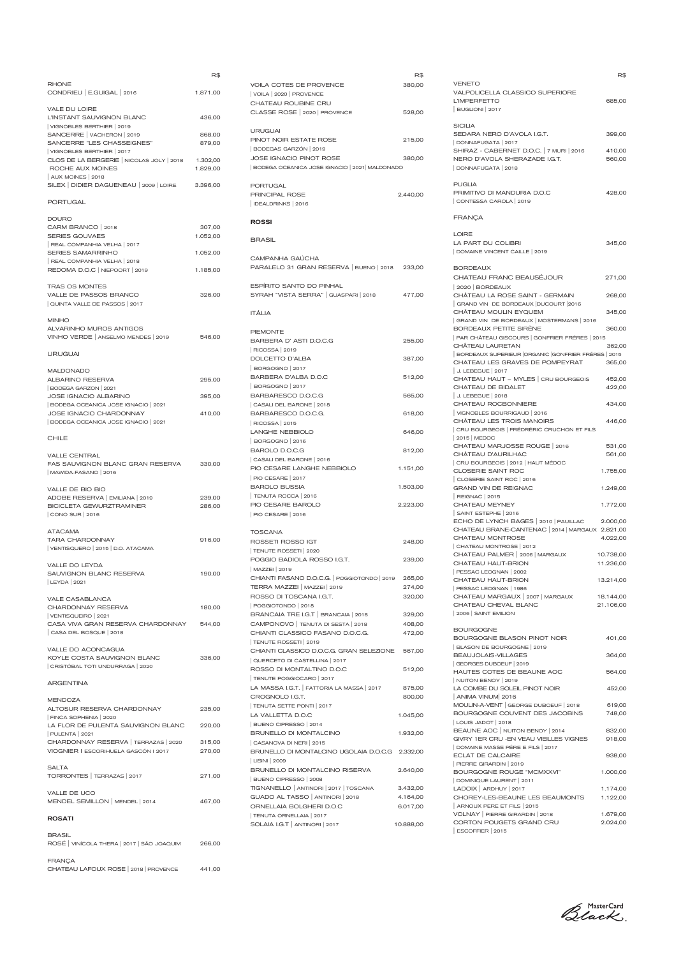|                                                                                                | R\$                  |
|------------------------------------------------------------------------------------------------|----------------------|
| <b>RHONE</b><br>CONDRIEU   E.GUIGAL   2016                                                     | 1.871,00             |
| <b>VALE DU LOIRE</b><br>L'INSTANT SAUVIGNON BLANC                                              | 436,00               |
| VIGNOBLES BERTHIER   2019<br>SANCERRE   VACHERON   2019<br>SANCERRE "LES CHASSEIGNES"          | 868,00<br>879,00     |
| VIGNOBLES BERTHIER   2017<br>CLOS DE LA BERGERIE   NICOLAS JOLY   2018<br>ROCHE AUX MOINES     | 1.302,00<br>1.829,00 |
| AUX MOINES   2018<br>SILEX   DIDIER DAGUENEAU   2009   LOIRE                                   | 3.396,00             |
| PORTUGAL                                                                                       |                      |
| <b>DOURO</b><br>CARM BRANCO   2018<br><b>SERIES GOUVAES</b>                                    | 307,00<br>1.052,00   |
| REAL COMPANHIA VELHA   2017<br><b>SERIES SAMARRINHO</b>                                        | 1.052,00             |
| REAL COMPANHIA VELHA   2018<br>REDOMA D.O.C   NIEPOORT   2019                                  | 1.185,00             |
| <b>TRAS OS MONTES</b><br><b>VALLE DE PASSOS BRANCO</b><br>QUINTA VALLE DE PASSOS   2017        | 326,00               |
| <b>MINHO</b><br>ALVARINHO MUROS ANTIGOS<br>VINHO VERDE   ANSELMO MENDES   2019                 | 546,00               |
| <b>URUGUAI</b>                                                                                 |                      |
| <b>MALDONADO</b><br><b>ALBARINO RESERVA</b><br>BODEGA GARZON   2021                            | 295,00               |
| JOSE IGNACIO ALBARINO<br>BODEGA OCEANICA JOSE IGNACIO   2021                                   | 395,00               |
| <b>JOSE IGNACIO CHARDONNAY</b><br>BODEGA OCEANICA JOSE IGNACIO   2021                          | 410,00               |
| <b>CHILE</b>                                                                                   |                      |
| <b>VALLE CENTRAL</b><br>FAS SAUVIGNON BLANC GRAN RESERVA<br>MAWIDA-FASANO   2016               | 330,00               |
| VALLE DE BIO BIO<br>ADOBE RESERVA   EMILIANA   2019                                            | 239,00               |
| <b>BICICLETA GEWURZTRAMINER</b><br>CONO SUR   2016                                             | 286,00               |
| <b>ATACAMA</b><br><b>TARA CHARDONNAY</b>                                                       | 916,00               |
| VENTISQUERO   2015   D.O. ATACAMA<br>VALLE DO LEYDA<br>SAUVIGNON BLANC RESERVA<br>LEYDA   2021 | 190,00               |
| <b>VALE CASABLANCA</b>                                                                         |                      |
| CHARDONNAY RESERVA<br>VENTISQUEIRO 2021                                                        | 180,00               |
| CASA VIVA GRAN RESERVA CHARDONNAY<br>CASA DEL BOSQUE   2018                                    | 544,00               |
| <b>VALLE DO ACONCAGUA</b><br>KOYLE COSTA SAUVIGNON BLANC<br>CRISTÓBAL TOTI UNDURRAGA   2020    | 336,00               |
| ARGENTINA                                                                                      |                      |

| <b>MENDOZA</b>                                          |        | <b>CRO</b>    |
|---------------------------------------------------------|--------|---------------|
| ALTOSUR RESERVA CHARDONNAY<br>FINCA SOPHENIA   2020     | 235,00 | TENI<br>LA V/ |
| LA FLOR DE PULENTA SAUVIGNON BLANC                      | 220,00 | BUEI          |
| PULENTA   2021                                          |        | <b>BRUI</b>   |
| CHARDONNAY RESERVA   TERRAZAS   2020                    | 315,00 | $\subset$ AS  |
| VIOGNIER I ESCORIHUELA GASCÓN I 2017                    | 270,00 | <b>BRUI</b>   |
|                                                         |        | LISIN         |
| <b>SALTA</b>                                            |        | <b>BRUI</b>   |
| TORRONTES   TERRAZAS   2017                             | 271,00 | BUEI          |
|                                                         |        | <b>TIGN</b>   |
| VALLE DE UCO                                            |        | <b>GUAI</b>   |
| MENDEL SEMILLON   MENDEL   2014                         | 467,00 | <b>ORNI</b>   |
| <b>ROSATI</b>                                           |        | TENI          |
|                                                         |        | <b>SOLA</b>   |
| <b>BRASIL</b><br>ROSÉ VINÍCOLA THERA 2017   SÃO JOAQUIM | 266,00 |               |
|                                                         |        |               |
|                                                         |        |               |

### FRANÇA

CHATEAU LAFOUX ROSE | 2018 | PROVENCE 441,00

|                                                            | R\$              |
|------------------------------------------------------------|------------------|
| <b>VOILA COTES DE PROVENCE</b>                             | 380,00           |
| VOILA 2020   PROVENCE                                      |                  |
| CHATEAU ROUBINE CRU                                        |                  |
| CLASSE ROSE   2020   PROVENCE                              | 528,00           |
|                                                            |                  |
| <b>URUGUAI</b>                                             |                  |
| PINOT NOIR ESTATE ROSE                                     | 215,00           |
| BODEGAS GARZÓN   2019                                      |                  |
| <b>JOSE IGNACIO PINOT ROSE</b>                             | 380,00           |
| BODEGA OCEANICA JOSE IGNACIO   2021   MALDONADO            |                  |
| <b>PORTUGAL</b>                                            |                  |
| <b>PRINCIPAL ROSE</b>                                      | 2.440,00         |
| IDEALDRINKS   2016                                         |                  |
|                                                            |                  |
| <b>ROSSI</b>                                               |                  |
| <b>BRASIL</b>                                              |                  |
|                                                            |                  |
| CAMPANHA GAÚCHA                                            |                  |
| PARALELO 31 GRAN RESERVA   BUENO   2018                    | 233,00           |
|                                                            |                  |
| <b>ESPÍRITO SANTO DO PINHAL</b>                            |                  |
| SYRAH "VISTA SERRA"   GUASPARI   2018                      | 477,00           |
| <b>ITÁLIA</b>                                              |                  |
|                                                            |                  |
| <b>PIEMONTE</b>                                            |                  |
| BARBERA D' ASTI D.O.C.G                                    | 255,00           |
| RICOSSA 2019                                               |                  |
| <b>DOLCETTO D'ALBA</b>                                     | 387,00           |
| BORGOGNO   2017                                            |                  |
| <b>BARBERA D'ALBA D.O.C</b>                                | 512,00           |
| BORGOGNO   2017                                            |                  |
| BARBARESCO D.O.C.G                                         | 565,00           |
| CASALI DEL BARONE   2018                                   |                  |
| BARBARESCO D.O.C.G.                                        | 618,00           |
| RICOSSA 2015                                               |                  |
| <b>LANGHE NEBBIOLO</b>                                     | 646,00           |
| BORGOGNO 2016<br>BAROLO D.O.C.G                            | 812,00           |
| CASALI DEL BARONE   2016                                   |                  |
| PIO CESARE LANGHE NEBBIOLO                                 | 1.151,00         |
| PIO CESARE   2017                                          |                  |
| <b>BAROLO BUSSIA</b>                                       | 1.503,00         |
| TENUTA ROCCA   2016                                        |                  |
| PIO CESARE BAROLO                                          | 2.223,00         |
| PIO CESARE 2016                                            |                  |
| <b>TOSCANA</b>                                             |                  |
| ROSSETI ROSSO IGT                                          | 248,00           |
| TENUTE ROSSETI   2020                                      |                  |
| POGGIO BADIOLA ROSSO I.G.T.                                | 239,00           |
| MAZZEI 2019                                                |                  |
| CHIANTI FASANO D.O.C.G.   POGGIOTONDO   2019               | 265,00           |
| TERRA MAZZEI   MAZZEI   2019                               | 274,00           |
| ROSSO DI TOSCANA I.G.T.                                    | 320,00           |
| POGGIOTONDO   2018<br>BRANCAIA TRE I.G.T   BRANCAIA   2018 |                  |
| CAMPONOVO   TENUTA DI SESTA   2018                         | 329,00<br>408,00 |
| CHIANTI CLASSICO FASANO D.O.C.G.                           | 472,00           |
| TENUTE ROSSETI   2019                                      |                  |
| CHIANTI CLASSICO D.O.C.G. GRAN SELEZIONE                   | 567,00           |
| QUERCETO DI CASTELLINA   2017                              |                  |
| ROSSO DI MONTALTINO D.O.C                                  | 512,00           |
| TENUTE POGGIOCARO   2017                                   |                  |
| LA MASSA I.G.T. FATTORIA LA MASSA   2017                   | 875,00           |
| CROGNOLO I.G.T.                                            | 800,00           |
| TENUTA SETTE PONTI   2017                                  |                  |
| LA VALLETTA D.O.C                                          | 1.045,00         |
| BUENO CIPRESSO   2014                                      |                  |
| <b>BRUNELLO DI MONTALCINO</b>                              | 1.932,00         |
| CASANOVA DI NERI 2015                                      |                  |
| BRUNELLO DI MONTALCINO UGOLAIA D.O.C.G                     | 2.332,00         |
| LISINI   2009                                              |                  |
| BRUNELLO DI MONTALCINO RISERVA<br>BUENO CIPRESSO   2008    | 2.640,00         |
| TIGNANELLO   ANTINORI   2017   TOSCANA                     | 3.432,00         |
| GUADO AL TASSO   ANTINORI   2018                           | 4.164,00         |
| ORNELLAIA BOLGHERI D.O.C                                   | 6.017,00         |
| TENUTA ORNELLAIA   2017                                    |                  |
| SOLAIA I.G.T   ANTINORI   2017                             | 10.888,00        |
|                                                            |                  |

| LA COMBE DU SOLEIL PINOT NOIR           | 452,00                                                    |
|-----------------------------------------|-----------------------------------------------------------|
| ANIMA VINUM 2016                        |                                                           |
| MOULIN-A-VENT GEORGE DUBOEUF   2018     | 619,00                                                    |
| BOURGOGNE COUVENT DES JACOBINS          | 748,00                                                    |
| LOUIS JADOT   2018                      |                                                           |
| BEAUNE AOC   NUITON BENOY   2014        | 832,00                                                    |
| GIVRY 1ER CRU - EN VEAU VIEILLES VIGNES | 918,00                                                    |
| DOMAINE MASSE PÉRE E FILS   2017        |                                                           |
| <b>ECLAT DE CALCAIRE</b>                | 938,00                                                    |
| PIERRE GIRARDIN   2019                  |                                                           |
| BOURGOGNE ROUGE "MCMXXVI"               | 1.000,00                                                  |
| DOMINIQUE LAURENT   2011                |                                                           |
|                                         | 1.174,00                                                  |
| CHOREY-LES-BEAUNE LES BEAUMONTS         | 1.122,00                                                  |
| ARNOUX PERE ET FILS   2015              |                                                           |
|                                         | 1.679,00                                                  |
| CORTON POUGETS GRAND CRU                | 2.024,00                                                  |
| ESCOFFIER   2015                        |                                                           |
|                                         | LADOIX   ARDHUY   2017<br>VOLNAY   PIERRE GIRARDIN   2018 |

Black

|                                                   | R\$       |
|---------------------------------------------------|-----------|
| VENETO                                            |           |
| VALPOLICELLA CLASSICO SUPERIORE                   |           |
| L'IMPERFETTO                                      | 685,00    |
| <b>BUGLIONI</b>   2017                            |           |
|                                                   |           |
| <b>SICILIA</b>                                    |           |
| SEDARA NERO D'AVOLA I.G.T.                        | 399,00    |
| DONNAFUGATA   2017                                |           |
| SHIRAZ - CABERNET D.O.C.   7 MURI   2016          | 410,00    |
| NERO D'AVOLA SHERAZADE I.G.T.                     | 560,00    |
| DONNAFUGATA   2018                                |           |
|                                                   |           |
| <b>PUGLIA</b>                                     |           |
| PRIMITIVO DI MANDURIA D.O.C                       | 428,00    |
| CONTESSA CAROLA   2019                            |           |
|                                                   |           |
| <b>FRANÇA</b>                                     |           |
|                                                   |           |
| LOIRE                                             |           |
| LA PART DU COLIBRI                                | 345,00    |
| DOMAINE VINCENT CAILLE   2019                     |           |
|                                                   |           |
| <b>BORDEAUX</b>                                   |           |
| CHATEAU FRANC BEAUSÉJOUR                          | 271,00    |
| 2020   BORDEAUX                                   |           |
| CHÂTEAU LA ROSE SAINT - GERMAIN                   | 268,00    |
| GRAND VIN DE BORDEAUX DUCOURT 2016                |           |
| CHÂTEAU MOULIN EYQUEM                             |           |
|                                                   | 345,00    |
| GRAND VIN DE BORDEAUX   MOSTERMANS   2016         |           |
| BORDEAUX PETITE SIRÈNE                            | 360,00    |
| PAR CHÂTEAU GISCOURS GONFRIER FRÉRES   2015       |           |
| CHÂTEAU LAURETAN                                  | 362,00    |
| BORDEAUX SUPERIEUR ORGANIC GONFRIER FRÉRES   2015 |           |
| CHATEAU LES GRAVES DE POMPEYRAT                   | 365,00    |
| J. LEBEGUE   2017                                 |           |
| CHATEAU HAUT - MYLES   CRU BOURGEOIS              | 452,00    |
| CHATEAU DE BIDALET                                | 422,00    |
| J. LEBEGUE   2018                                 |           |
| CHATEAU ROCBONNIERE                               | 434,00    |
| VIGNOBLES BOURRIGAUD   2016                       |           |
| CHÂTEAU LES TROIS MANOIRS                         | 446,00    |
| CRU BOURGEOIS   FRÉDRÉRIC CRUCHON ET FILS         |           |
| 2015   MEDOC                                      |           |
| CHATEAU MARJOSSE ROUGE   2016                     | 531,00    |
| CHÂTEAU D'AURILHAC                                | 561,00    |
| CRU BOURGEOIS   2012   HAUT MÉDOC                 |           |
| CLOSERIE SAINT ROC                                | 1.755,00  |
| CLOSERIE SAINT ROC   2016                         |           |
| <b>GRAND VIN DE REIGNAC</b>                       | 1.249,00  |
| <b>REIGNAC</b>   2015                             |           |
| CHATEAU MEYNEY                                    | 1.772,00  |
| SAINT ESTEPHE   2016                              |           |
| ECHO DE LYNCH BAGES   2010   PAUILLAC             | 2.000,00  |
| CHATEAU BRANE-CANTENAC   2014   MARGAUX 2.821,00  |           |
| CHATEAU MONTROSE                                  | 4.022,00  |
| CHATEAU MONTROSE   2012                           |           |
| CHATEAU PALMER   2006   MARGAUX                   | 10.738,00 |
| CHATEAU HAUT-BRION                                | 11.236,00 |
| PESSAC LEOGNAN   2002                             |           |
| CHATEAU HAUT-BRION                                | 13.214,00 |
| PESSAC LEOGNAN   1986                             |           |
| CHATEAU MARGAUX   2007   MARGAUX                  | 18.144,00 |
| CHATEAU CHEVAL BLANC                              | 21.106,00 |
| 2006 SAINT EMILION                                |           |
|                                                   |           |
| <b>BOURGOGNE</b>                                  |           |
| BOURGOGNE BLASON PINOT NOIR                       |           |
|                                                   | 401,00    |
| BLASON DE BOURGOGNE   2019                        |           |
|                                                   |           |
| <b>BEAUJOLAIS-VILLAGES</b>                        | 364,00    |
| GEORGES DUBOEUF   2019                            |           |
| HAUTES COTES DE BEAUNE AOC<br>NUITON BENOY   2019 | 564,00    |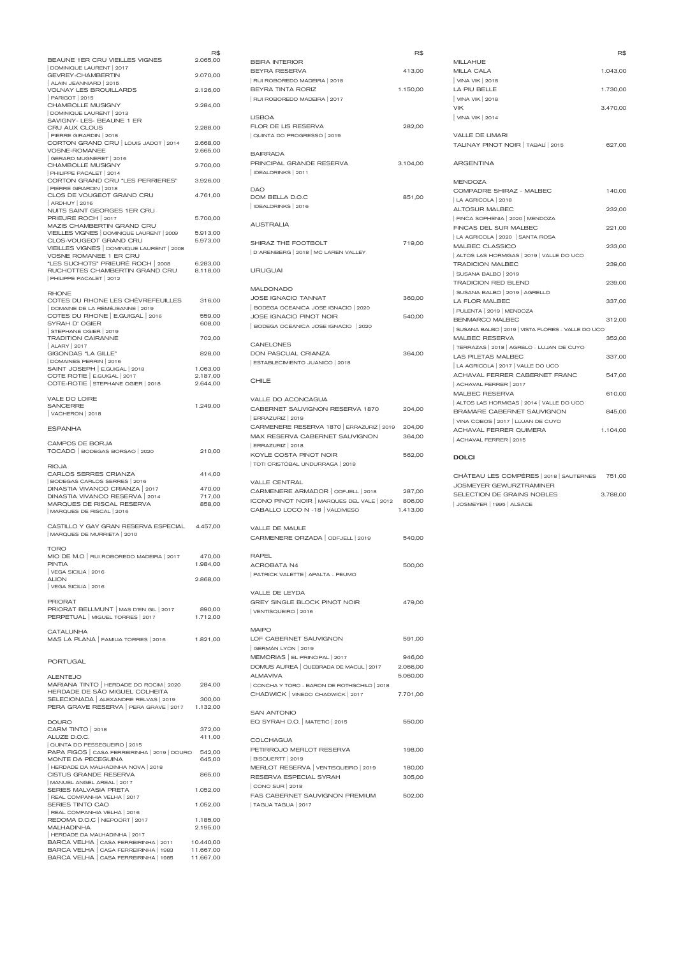| BEAUNE 1ER CRU VIEILLES VIGNES                                                                                                               | R\$<br>2.065,00      |
|----------------------------------------------------------------------------------------------------------------------------------------------|----------------------|
| DOMINIQUE LAURENT   2017<br><b>GEVREY-CHAMBERTIN</b>                                                                                         | 2.070,00             |
| ALAIN JEANNIARD   2015<br><b>VOLNAY LES BROUILLARDS</b><br><b>PARIGOT   2015</b>                                                             | 2.126,00             |
| CHAMBOLLE MUSIGNY<br>DOMINIQUE LAURENT   2013                                                                                                | 2.284,00             |
| SAVIGNY- LES- BEAUNE 1 ER<br>CRU AUX CLOUS                                                                                                   | 2.288,00             |
| PIERRE GIRARDIN 2018<br>CORTON GRAND CRU   LOUIS JADOT   2014                                                                                | 2.668,00             |
| <b>VOSNE-ROMANEE</b><br>GERARD MUGNERET   2016<br><b>CHAMBOLLE MUSIGNY</b>                                                                   | 2.665,00             |
| PHILIPPE PACALET   2014<br>CORTON GRAND CRU "LES PERRIERES"                                                                                  | 2.700,00<br>3.926,00 |
| PIERRE GIRARDIN   2018<br>CLOS DE VOUGEOT GRAND CRU                                                                                          | 4.761,00             |
| ARDHUY   2016<br>NUITS SAINT GEORGES 1ER CRU                                                                                                 |                      |
| PRIEURE ROCH   2017<br>MAZIS CHAMBERTIN GRAND CRU                                                                                            | 5.700,00             |
| VIEILLES VIGNES   DOMINIQUE LAURENT   2009<br>CLOS-VOUGEOT GRAND CRU<br>VIEILLES VIGNES   DOMINIQUE LAURENT   2008<br>VOSNE ROMANEE 1 ER CRU | 5.913,00<br>5.973,00 |
| "LES SUCHOTS" PRIEURÉ ROCH   2008<br>RUCHOTTES CHAMBERTIN GRAND CRU<br>PHILIPPE PACALET   2012                                               | 6.283,00<br>8.118,00 |
| <b>RHONE</b><br>COTES DU RHONE LES CHÈVREFEUILLES<br>DOMAINE DE LA RÉMÉJEANNE   2019                                                         | 316,00               |
| COTES DU RHONE   E.GUIGAL   2016<br>SYRAH D' OGIER                                                                                           | 559,00<br>608,00     |
| STEPHANE OGIER   2019<br><b>TRADITION CAIRANNE</b>                                                                                           | 702,00               |
| ALARY   2017<br>GIGONDAS "LA GILLE"<br>DOMAINES PERRIN   2016                                                                                | 828,00               |
|                                                                                                                                              | 1.063,00             |
| SAINT JOSEPH   E.GUIGAL   2018                                                                                                               |                      |
| COTE ROTIE   E.GUIGAL   2017<br>COTE-ROTIE STEPHANE OGIER   2018                                                                             | 2.187,00<br>2.644,00 |
| <b>VALE DO LOIRE</b><br><b>SANCERRE</b><br>VACHERON 2018                                                                                     | 1.249,00             |
| <b>ESPANHA</b>                                                                                                                               |                      |
| CAMPOS DE BORJA<br>TOCADO   BODEGAS BORSAO   2020                                                                                            | 210,00               |
| <b>RIOJA</b><br><b>CARLOS SERRES CRIANZA</b>                                                                                                 | 414,00               |
| <b>BODEGAS CARLOS SERRES   2016</b>                                                                                                          |                      |
| DINASTIA VIVANCO CRIANZA   2017<br>DINASTIA VIVANCO RESERVA   2014                                                                           | 470,00<br>717,00     |
| <b>MARQUES DE RISCAL RESERVA</b><br>MARQUES DE RISCAL   2016                                                                                 | 858,00               |
| CASTILLO Y GAY GRAN RESERVA ESPECIAL 4.457,00<br>MARQUES DE MURRIETA   2010                                                                  |                      |
| <b>TORO</b><br>MIO DE M.O RUI ROBOREDO MADEIRA 2017<br><b>PINTIA</b>                                                                         | 470,00<br>1.984,00   |
| VEGA SICILIA 2016<br><b>ALION</b><br>VEGA SICILIA   2016                                                                                     | 2.868,00             |
| <b>PRIORAT</b><br>PRIORAT BELLMUNT   MAS D'EN GIL   2017<br>PERPETUAL   MIGUEL TORRES   2017                                                 | 890,00<br>1.712,00   |
| <b>CATALUNHA</b><br>MAS LA PLANA FAMILIA TORRES 2016                                                                                         | 1.821,00             |
| <b>PORTUGAL</b>                                                                                                                              |                      |

MARIANA TINTO | HERDADE DO ROCIM | 2020 284,00

| HERDADE DE SÃO MIGUEL COLHEITA               |           | CHADWICK   VINEDO CHADWICK   2017    | 7.701,00 |
|----------------------------------------------|-----------|--------------------------------------|----------|
| SELECIONADA   ALEXANDRE RELVAS   2019        | 300,00    |                                      |          |
| PERA GRAVE RESERVA   PERA GRAVE   2017       | 1.132,00  |                                      |          |
|                                              |           | <b>SAN ANTONIO</b>                   |          |
| <b>DOURO</b>                                 |           | EQ SYRAH D.O.   MATETIC   2015       | 550,00   |
| CARM TINTO   2018                            | 372,00    |                                      |          |
| ALUZE D.O.C.                                 | 411,00    | <b>COLCHAGUA</b>                     |          |
| QUINTA DO PESSEGUEIRO   2015                 |           | PETIRROJO MERLOT RESERVA             |          |
| PAPA FIGOS   CASA FERREIRINHA   2019   DOURO | 542,00    |                                      | 198,00   |
| <b>MONTE DA PECEGUINA</b>                    | 645,00    | BISQUERTT   2019                     |          |
| HERDADE DA MALHADINHA NOVA   2018            |           | MERLOT RESERVA   VENTISQUEIRO   2019 | 180,00   |
| <b>CISTUS GRANDE RESERVA</b>                 | 865,00    | RESERVA ESPECIAL SYRAH               | 305,00   |
| MANUEL ANGEL AREAL   2017                    |           | CONO SUR 2018                        |          |
| <b>SERIES MALVASIA PRETA</b>                 | 1.052,00  |                                      |          |
| REAL COMPANHIA VELHA   2017                  |           | FAS CABERNET SAUVIGNON PREMIUM       | 502,00   |
| SERIES TINTO CAO                             | 1.052,00  | TAGUA TAGUA   2017                   |          |
| REAL COMPANHIA VELHA   2016                  |           |                                      |          |
| REDOMA D.O.C   NIEPOORT   2017               | 1.185,00  |                                      |          |
| <b>MALHADINHA</b>                            | 2.195,00  |                                      |          |
| HERDADE DA MALHADINHA   2017                 |           |                                      |          |
| BARCA VELHA   CASA FERREIRINHA   2011        | 10.440,00 |                                      |          |
| BARCA VELHA   CASA FERREIRINHA   1983        | 11.667,00 |                                      |          |
| BARCA VELHA   CASA FERREIRINHA   1985        | 11.667,00 |                                      |          |

|                                                       | R\$      |
|-------------------------------------------------------|----------|
| <b>BEIRA INTERIOR</b><br><b>BEYRA RESERVA</b>         |          |
| RUI ROBOREDO MADEIRA   2018                           | 413,00   |
| <b>BEYRA TINTA RORIZ</b>                              | 1.150,00 |
| RUI ROBOREDO MADEIRA 2017                             |          |
| <b>LISBOA</b>                                         |          |
| <b>FLOR DE LIS RESERVA</b>                            | 282,00   |
| QUINTA DO PROGRESSO   2019                            |          |
| <b>BAIRRADA</b>                                       |          |
| PRINCIPAL GRANDE RESERVA                              | 3.104,00 |
| IDEALDRINKS   2011                                    |          |
| DAO                                                   |          |
| DOM BELLA D.O.C                                       | 851,00   |
| DEALDRINKS   2016                                     |          |
| <b>AUSTRALIA</b>                                      |          |
| SHIRAZ THE FOOTBOLT                                   | 719,00   |
| D'ARENBERG   2018   MC LAREN VALLEY                   |          |
| <b>URUGUAI</b>                                        |          |
| <b>MALDONADO</b>                                      |          |
| <b>JOSE IGNACIO TANNAT</b>                            | 360,00   |
| BODEGA OCEANICA JOSE IGNACIO   2020                   |          |
| JOSE IGNACIO PINOT NOIR                               | 540,00   |
| BODEGA OCEANICA JOSE IGNACIO   2020                   |          |
| <b>CANELONES</b>                                      |          |
| <b>DON PASCUAL CRIANZA</b>                            | 364,00   |
| ESTABLECIMIENTO JUANICO   2018                        |          |
| CHILE                                                 |          |
| <b>VALLE DO ACONCAGUA</b>                             |          |
| CABERNET SAUVIGNON RESERVA 1870                       | 204,00   |
| ERRAZURIZ   2019                                      |          |
| CARMENERE RESERVA 1870   ERRAZURIZ   2019             | 204,00   |
| MAX RESERVA CABERNET SAUVIGNON                        | 364,00   |
| ERRAZURIZ   2018<br>KOYLE COSTA PINOT NOIR            | 562,00   |
| TOTI CRISTÓBAL UNDURRAGA   2018                       |          |
| <b>VALLE CENTRAL</b>                                  |          |
| CARMENERE ARMADOR   ODFJELL   2018                    | 287,00   |
| ICONO PINOT NOIR   MARQUES DEL VALE   2012            | 806,00   |
| CABALLO LOCO N -18 VALDIVIESO                         | 1.413,00 |
| <b>VALLE DE MAULE</b>                                 |          |
| CARMENERE ORZADA   ODFJELL   2019                     | 540,00   |
| <b>RAPEL</b>                                          |          |
| <b>ACROBATA N4</b>                                    | 500,00   |
| PATRICK VALETTE   APALTA - PEUMO                      |          |
| <b>VALLE DE LEYDA</b><br>GREY SINGLE BLOCK PINOT NOIR |          |
| VENTISQUEIRO   2016                                   | 479,00   |
|                                                       |          |
| <b>MAIPO</b><br>LOF CABERNET SAUVIGNON                | 591,00   |
| GERMÁN LYON   2019                                    |          |
| MEMORIAS   EL PRINCIPAL   2017                        | 946,00   |
| DOMUS AUREA   QUEBRADA DE MACUL   2017                | 2.066,00 |
| <b>ALMAVIVA</b>                                       | 5.060,00 |
| CONCHA Y TORO - BARON DE ROTHSCHILD   2018            |          |

|                                                                            | R\$      |
|----------------------------------------------------------------------------|----------|
| <b>MILLAHUE</b><br><b>MILLA CALA</b>                                       | 1.043,00 |
| VINA VIK   2018                                                            |          |
| LA PIU BELLE                                                               | 1.730,00 |
| VINA VIK 2018                                                              |          |
| <b>VIK</b>                                                                 | 3.470,00 |
| VINA VIK   2014                                                            |          |
| <b>VALLE DE LIMARI</b>                                                     |          |
| TALINAY PINOT NOIR   TABALÍ   2015                                         | 627,00   |
| <b>ARGENTINA</b>                                                           |          |
| <b>MENDOZA</b>                                                             |          |
| COMPADRE SHIRAZ - MALBEC                                                   | 140,00   |
| LA AGRICOLA   2018                                                         |          |
| <b>ALTOSUR MALBEC</b>                                                      | 232,00   |
| FINCA SOPHENIA   2020   MENDOZA                                            |          |
| FINCAS DEL SUR MALBEC                                                      | 221,00   |
| LA AGRICOLA   2020   SANTA ROSA<br><b>MALBEC CLASSICO</b>                  | 233,00   |
| ALTOS LAS HORMIGAS   2019   VALLE DO UCO                                   |          |
| <b>TRADICION MALBEC</b>                                                    | 239,00   |
| SUSANA BALBO   2019                                                        |          |
| <b>TRADICION RED BLEND</b>                                                 | 239,00   |
| SUSANA BALBO   2019   AGRELLO                                              |          |
| <b>LA FLOR MALBEC</b>                                                      | 337,00   |
| PULENTA   2019   MENDOZA                                                   |          |
| <b>BENMARCO MALBEC</b>                                                     | 312,00   |
| SUSANA BALBO   2019   VISTA FLORES - VALLE DO UCO<br><b>MALBEC RESERVA</b> |          |
| TERRAZAS   2018   AGRELO - LUJAN DE CUYO                                   | 352,00   |
| <b>LAS PILETAS MALBEC</b>                                                  | 337,00   |
| LA AGRICOLA   2017   VALLE DO UCO                                          |          |
| ACHAVAL FERRER CABERNET FRANC                                              | 547,00   |
| ACHAVAL FERRER   2017                                                      |          |
| MALBEC RESERVA                                                             | 610,00   |
| ALTOS LAS HORMIGAS   2014   VALLE DO UCO                                   |          |
| <b>BRAMARE CABERNET SAUVIGNON</b>                                          | 845,00   |
| VINA COBOS   2017   LUJAN DE CUYO                                          |          |
| <b>ACHAVAL FERRER QUIMERA</b>                                              | 1.104,00 |
| ACHAVAL FERRER   2015                                                      |          |
| <b>DOLCI</b>                                                               |          |
| CHÂTEAU LES COMPÈRES   2018   SAUTERNES 751,00                             |          |
| <b>JOSMEYER GEWURZTRAMINER</b>                                             |          |
| SELECTION DE GRAINS NOBLES                                                 | 3.788,00 |

- 
- | JOSMEYER | 1995 | ALSACE